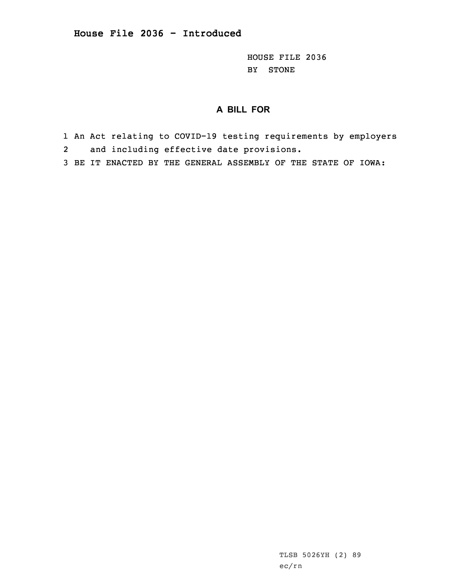HOUSE FILE 2036 BY STONE

## **A BILL FOR**

- 1 An Act relating to COVID-19 testing requirements by employers 2and including effective date provisions.
- 3 BE IT ENACTED BY THE GENERAL ASSEMBLY OF THE STATE OF IOWA:

TLSB 5026YH (2) 89 ec/rn